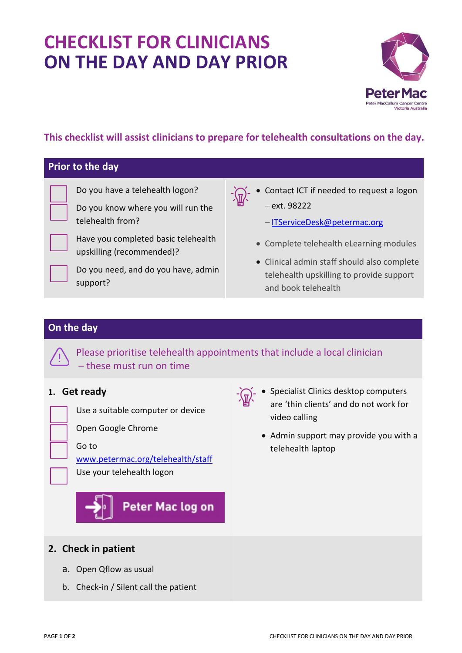# **CHECKLIST FOR CLINICIANS ON THE DAY AND DAY PRIOR**



### **This checklist will assist clinicians to prepare for telehealth consultations on the day.**

#### **Prior to the day**

Do you have a telehealth logon?

Do you know where you will run the telehealth from?



Do you need, and do you have, admin support?

 Contact ICT if needed to request a logon ext. 98222

-[ITServiceDesk@petermac.org](mailto:ITServiceDesk@petermac.org)

- Complete telehealth eLearning modules
- Clinical admin staff should also complete telehealth upskilling to provide support and book telehealth

#### **On the day**

Please prioritise telehealth appointments that include a local clinician – these must run on time

#### **1. Get ready**

|  |  | _____                                       |  |
|--|--|---------------------------------------------|--|
|  |  | ______<br>the control of the control of the |  |
|  |  |                                             |  |

Use a suitable computer or device

Open Google Chrome

#### Go to

[www.petermac.org/telehealth/staff](http://www.petermac.org/telehealth/staff)

Use your telehealth logon

## Peter Mac log on

- **Specialist Clinics desktop computers** are 'thin clients' and do not work for video calling
- Admin support may provide you with a telehealth laptop

#### **2. Check in patient**

- a. Open Qflow as usual
- b. Check-in / Silent call the patient